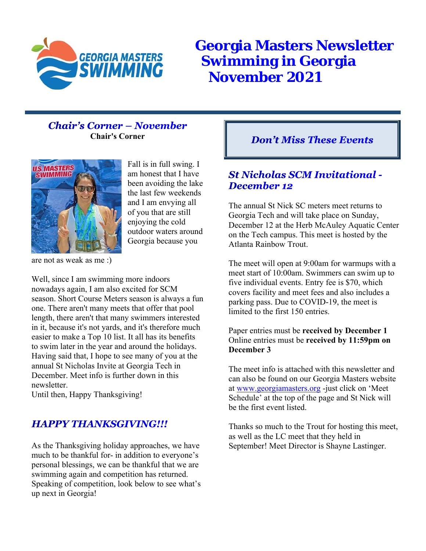

**Georgia Masters Newsletter Swimming in Georgia November 2021**

#### **Chair's Corner - November Chair's Corner**



Fall is in full swing. I am honest that I have been avoiding the lake the last few weekends and I am envying all of you that are still enjoying the cold outdoor waters around Georgia because you

are not as weak as me :)

Well, since I am swimming more indoors nowadays again, I am also excited for SCM season. Short Course Meters season is always a fun one. There aren't many meets that offer that pool length, there aren't that many swimmers interested in it, because it's not yards, and it's therefore much easier to make a Top 10 list. It all has its benefits to swim later in the year and around the holidays. Having said that, I hope to see many of you at the annual St Nicholas Invite at Georgia Tech in December. Meet info is further down in this newsletter.

Until then, Happy Thanksgiving!

#### **HAPPY THANKSGIVING!!!**

As the Thanksgiving holiday approaches, we have much to be thankful for- in addition to everyone's personal blessings, we can be thankful that we are swimming again and competition has returned. Speaking of competition, look below to see what's up next in Georgia!

#### **Don't Miss These Events**

#### **St Nicholas SCM Invitational -December 12**

The annual St Nick SC meters meet returns to Georgia Tech and will take place on Sunday, December 12 at the Herb McAuley Aquatic Center on the Tech campus. This meet is hosted by the Atlanta Rainbow Trout.

The meet will open at 9:00am for warmups with a meet start of 10:00am. Swimmers can swim up to five individual events. Entry fee is \$70, which covers facility and meet fees and also includes a parking pass. Due to COVID-19, the meet is limited to the first 150 entries.

#### Paper entries must be **received by December 1** Online entries must be **received by 11:59pm on December 3**

The meet info is attached with this newsletter and can also be found on our Georgia Masters website at www.georgiamasters.org -just click on 'Meet Schedule' at the top of the page and St Nick will be the first event listed.

Thanks so much to the Trout for hosting this meet, as well as the LC meet that they held in September! Meet Director is Shayne Lastinger.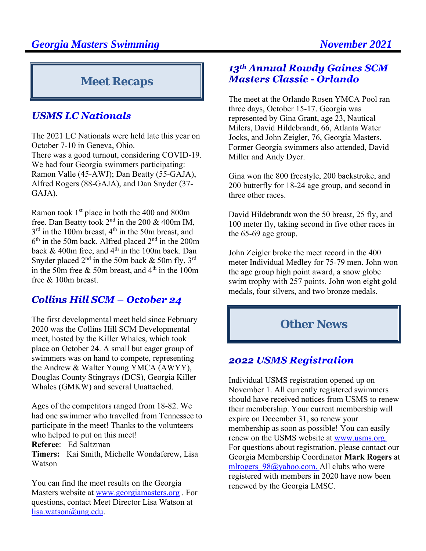## **Meet Recaps**

#### **USMS LC Nationals**

The 2021 LC Nationals were held late this year on October 7-10 in Geneva, Ohio. There was a good turnout, considering COVID-19. We had four Georgia swimmers participating: Ramon Valle (45-AWJ); Dan Beatty (55-GAJA), Alfred Rogers (88-GAJA), and Dan Snyder (37- GAJA).

Ramon took 1<sup>st</sup> place in both the 400 and 800m free. Dan Beatty took  $2<sup>nd</sup>$  in the 200 & 400m IM, 3<sup>rd</sup> in the 100m breast, 4<sup>th</sup> in the 50m breast, and  $6<sup>th</sup>$  in the 50m back. Alfred placed  $2<sup>nd</sup>$  in the 200m back  $& 400m$  free, and  $4<sup>th</sup>$  in the 100m back. Dan Snyder placed  $2<sup>nd</sup>$  in the 50m back & 50m fly, 3<sup>rd</sup> in the 50m free  $&$  50m breast, and 4<sup>th</sup> in the 100m free & 100m breast.

## **Collins Hill SCM - October 24**

The first developmental meet held since February 2020 was the Collins Hill SCM Developmental meet, hosted by the Killer Whales, which took place on October 24. A small but eager group of swimmers was on hand to compete, representing the Andrew & Walter Young YMCA (AWYY), Douglas County Stingrays (DCS), Georgia Killer Whales (GMKW) and several Unattached.

Ages of the competitors ranged from 18-82. We had one swimmer who travelled from Tennessee to participate in the meet! Thanks to the volunteers who helped to put on this meet! **Referee**: Ed Saltzman

**Timers:** Kai Smith, Michelle Wondaferew, Lisa Watson

You can find the meet results on the Georgia Masters website at www.georgiamasters.org . For questions, contact Meet Director Lisa Watson at lisa.watson@ung.edu.

#### 13th Annual Rowdy Gaines SCM **Masters Classic - Orlando**

The meet at the Orlando Rosen YMCA Pool ran three days, October 15-17. Georgia was represented by Gina Grant, age 23, Nautical Milers, David Hildebrandt, 66, Atlanta Water Jocks, and John Zeigler, 76, Georgia Masters. Former Georgia swimmers also attended, David Miller and Andy Dyer.

Gina won the 800 freestyle, 200 backstroke, and 200 butterfly for 18-24 age group, and second in three other races.

David Hildebrandt won the 50 breast, 25 fly, and 100 meter fly, taking second in five other races in the 65-69 age group.

John Zeigler broke the meet record in the 400 meter Individual Medley for 75-79 men. John won the age group high point award, a snow globe swim trophy with 257 points. John won eight gold medals, four silvers, and two bronze medals.

## **Other News**

#### **2022 USMS Registration**

Individual USMS registration opened up on November 1. All currently registered swimmers should have received notices from USMS to renew their membership. Your current membership will expire on December 31, so renew your membership as soon as possible! You can easily renew on the USMS website at www.usms.org. For questions about registration, please contact our Georgia Membership Coordinator **Mark Rogers** at mlrogers 98@yahoo.com. All clubs who were registered with members in 2020 have now been renewed by the Georgia LMSC.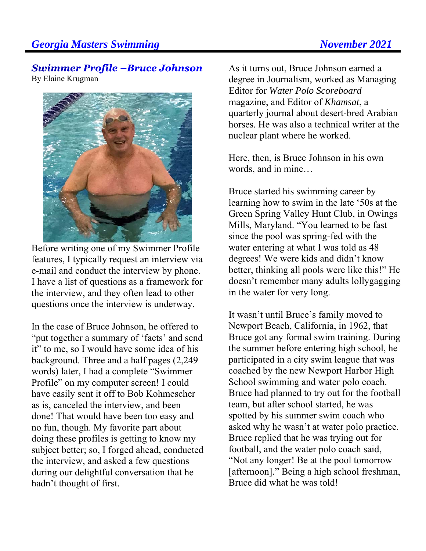# **Swimmer Profile -Bruce Johnson**

By Elaine Krugman



Before writing one of my Swimmer Profile features, I typically request an interview via e-mail and conduct the interview by phone. I have a list of questions as a framework for the interview, and they often lead to other questions once the interview is underway.

In the case of Bruce Johnson, he offered to "put together a summary of 'facts' and send it" to me, so I would have some idea of his background. Three and a half pages (2,249 words) later, I had a complete "Swimmer Profile" on my computer screen! I could have easily sent it off to Bob Kohmescher as is, canceled the interview, and been done! That would have been too easy and no fun, though. My favorite part about doing these profiles is getting to know my subject better; so, I forged ahead, conducted the interview, and asked a few questions during our delightful conversation that he hadn't thought of first.

As it turns out, Bruce Johnson earned a degree in Journalism, worked as Managing Editor for *Water Polo Scoreboard* magazine, and Editor of *Khamsat*, a quarterly journal about desert-bred Arabian horses. He was also a technical writer at the nuclear plant where he worked.

Here, then, is Bruce Johnson in his own words, and in mine…

Bruce started his swimming career by learning how to swim in the late '50s at the Green Spring Valley Hunt Club, in Owings Mills, Maryland. "You learned to be fast since the pool was spring-fed with the water entering at what I was told as 48 degrees! We were kids and didn't know better, thinking all pools were like this!" He doesn't remember many adults lollygagging in the water for very long.

It wasn't until Bruce's family moved to Newport Beach, California, in 1962, that Bruce got any formal swim training. During the summer before entering high school, he participated in a city swim league that was coached by the new Newport Harbor High School swimming and water polo coach. Bruce had planned to try out for the football team, but after school started, he was spotted by his summer swim coach who asked why he wasn't at water polo practice. Bruce replied that he was trying out for football, and the water polo coach said, "Not any longer! Be at the pool tomorrow [afternoon]." Being a high school freshman, Bruce did what he was told!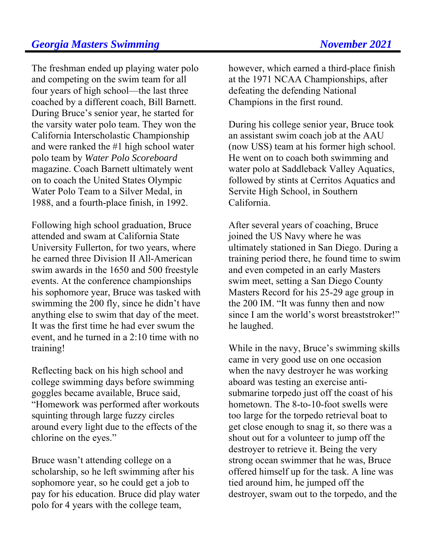The freshman ended up playing water polo and competing on the swim team for all four years of high school—the last three coached by a different coach, Bill Barnett. During Bruce's senior year, he started for the varsity water polo team. They won the California Interscholastic Championship and were ranked the #1 high school water polo team by *Water Polo Scoreboard*  magazine. Coach Barnett ultimately went on to coach the United States Olympic Water Polo Team to a Silver Medal, in 1988, and a fourth-place finish, in 1992.

Following high school graduation, Bruce attended and swam at California State University Fullerton, for two years, where he earned three Division II All-American swim awards in the 1650 and 500 freestyle events. At the conference championships his sophomore year, Bruce was tasked with swimming the 200 fly, since he didn't have anything else to swim that day of the meet. It was the first time he had ever swum the event, and he turned in a 2:10 time with no training!

Reflecting back on his high school and college swimming days before swimming goggles became available, Bruce said, "Homework was performed after workouts squinting through large fuzzy circles around every light due to the effects of the chlorine on the eyes."

Bruce wasn't attending college on a scholarship, so he left swimming after his sophomore year, so he could get a job to pay for his education. Bruce did play water polo for 4 years with the college team,

however, which earned a third-place finish at the 1971 NCAA Championships, after defeating the defending National Champions in the first round.

During his college senior year, Bruce took an assistant swim coach job at the AAU (now USS) team at his former high school. He went on to coach both swimming and water polo at Saddleback Valley Aquatics, followed by stints at Cerritos Aquatics and Servite High School, in Southern California.

After several years of coaching, Bruce joined the US Navy where he was ultimately stationed in San Diego. During a training period there, he found time to swim and even competed in an early Masters swim meet, setting a San Diego County Masters Record for his 25-29 age group in the 200 IM. "It was funny then and now since I am the world's worst breaststroker!" he laughed.

While in the navy, Bruce's swimming skills came in very good use on one occasion when the navy destroyer he was working aboard was testing an exercise antisubmarine torpedo just off the coast of his hometown. The 8-to-10-foot swells were too large for the torpedo retrieval boat to get close enough to snag it, so there was a shout out for a volunteer to jump off the destroyer to retrieve it. Being the very strong ocean swimmer that he was, Bruce offered himself up for the task. A line was tied around him, he jumped off the destroyer, swam out to the torpedo, and the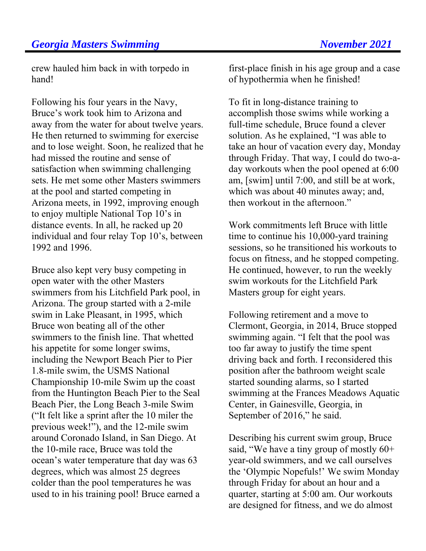crew hauled him back in with torpedo in hand!

Following his four years in the Navy, Bruce's work took him to Arizona and away from the water for about twelve years. He then returned to swimming for exercise and to lose weight. Soon, he realized that he had missed the routine and sense of satisfaction when swimming challenging sets. He met some other Masters swimmers at the pool and started competing in Arizona meets, in 1992, improving enough to enjoy multiple National Top 10's in distance events. In all, he racked up 20 individual and four relay Top 10's, between 1992 and 1996.

Bruce also kept very busy competing in open water with the other Masters swimmers from his Litchfield Park pool, in Arizona. The group started with a 2-mile swim in Lake Pleasant, in 1995, which Bruce won beating all of the other swimmers to the finish line. That whetted his appetite for some longer swims, including the Newport Beach Pier to Pier 1.8-mile swim, the USMS National Championship 10-mile Swim up the coast from the Huntington Beach Pier to the Seal Beach Pier, the Long Beach 3-mile Swim ("It felt like a sprint after the 10 miler the previous week!"), and the 12-mile swim around Coronado Island, in San Diego. At the 10-mile race, Bruce was told the ocean's water temperature that day was 63 degrees, which was almost 25 degrees colder than the pool temperatures he was used to in his training pool! Bruce earned a

first-place finish in his age group and a case of hypothermia when he finished!

To fit in long-distance training to accomplish those swims while working a full-time schedule, Bruce found a clever solution. As he explained, "I was able to take an hour of vacation every day, Monday through Friday. That way, I could do two-aday workouts when the pool opened at 6:00 am, [swim] until 7:00, and still be at work, which was about 40 minutes away; and, then workout in the afternoon."

Work commitments left Bruce with little time to continue his 10,000-yard training sessions, so he transitioned his workouts to focus on fitness, and he stopped competing. He continued, however, to run the weekly swim workouts for the Litchfield Park Masters group for eight years.

Following retirement and a move to Clermont, Georgia, in 2014, Bruce stopped swimming again. "I felt that the pool was too far away to justify the time spent driving back and forth. I reconsidered this position after the bathroom weight scale started sounding alarms, so I started swimming at the Frances Meadows Aquatic Center, in Gainesville, Georgia, in September of 2016," he said.

Describing his current swim group, Bruce said, "We have a tiny group of mostly  $60+$ year-old swimmers, and we call ourselves the 'Olympic Nopefuls!' We swim Monday through Friday for about an hour and a quarter, starting at 5:00 am. Our workouts are designed for fitness, and we do almost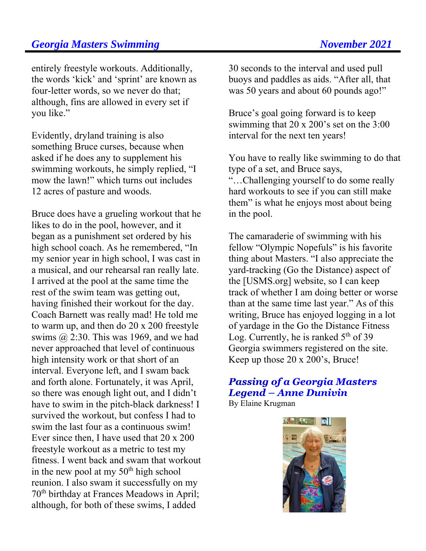#### **Georgia Masters Swimming Community Community Rober 2021**

entirely freestyle workouts. Additionally, the words 'kick' and 'sprint' are known as four-letter words, so we never do that; although, fins are allowed in every set if you like."

Evidently, dryland training is also something Bruce curses, because when asked if he does any to supplement his swimming workouts, he simply replied, "I mow the lawn!" which turns out includes 12 acres of pasture and woods.

Bruce does have a grueling workout that he likes to do in the pool, however, and it began as a punishment set ordered by his high school coach. As he remembered, "In my senior year in high school, I was cast in a musical, and our rehearsal ran really late. I arrived at the pool at the same time the rest of the swim team was getting out, having finished their workout for the day. Coach Barnett was really mad! He told me to warm up, and then do 20 x 200 freestyle swims  $(2, 2:30$ . This was 1969, and we had never approached that level of continuous high intensity work or that short of an interval. Everyone left, and I swam back and forth alone. Fortunately, it was April, so there was enough light out, and I didn't have to swim in the pitch-black darkness! I survived the workout, but confess I had to swim the last four as a continuous swim! Ever since then, I have used that 20 x 200 freestyle workout as a metric to test my fitness. I went back and swam that workout in the new pool at my  $50<sup>th</sup>$  high school reunion. I also swam it successfully on my 70th birthday at Frances Meadows in April; although, for both of these swims, I added

30 seconds to the interval and used pull buoys and paddles as aids. "After all, that was 50 years and about 60 pounds ago!"

Bruce's goal going forward is to keep swimming that 20 x 200's set on the 3:00 interval for the next ten years!

You have to really like swimming to do that type of a set, and Bruce says,

"…Challenging yourself to do some really hard workouts to see if you can still make them" is what he enjoys most about being in the pool.

The camaraderie of swimming with his fellow "Olympic Nopefuls" is his favorite thing about Masters. "I also appreciate the yard-tracking (Go the Distance) aspect of the [USMS.org] website, so I can keep track of whether I am doing better or worse than at the same time last year." As of this writing, Bruce has enjoyed logging in a lot of yardage in the Go the Distance Fitness Log. Currently, he is ranked  $5<sup>th</sup>$  of 39 Georgia swimmers registered on the site. Keep up those 20 x 200's, Bruce!

## **Passing of a Georgia Masters Legend – Anne Dunivin**

By Elaine Krugman

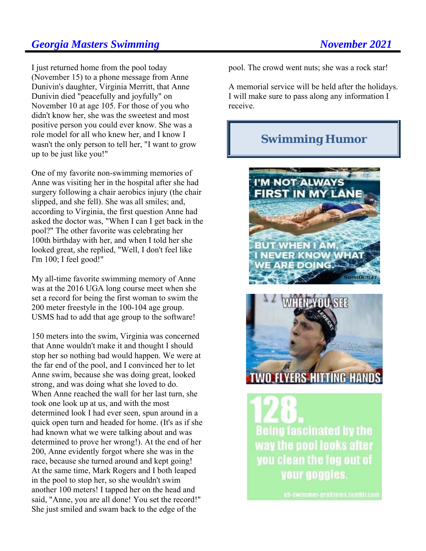#### **Georgia Masters Swimming November 2021**

I just returned home from the pool today (November 15) to a phone message from Anne Dunivin's daughter, Virginia Merritt, that Anne Dunivin died "peacefully and joyfully" on November 10 at age 105. For those of you who didn't know her, she was the sweetest and most positive person you could ever know. She was a role model for all who knew her, and I know I wasn't the only person to tell her, "I want to grow up to be just like you!"

One of my favorite non-swimming memories of Anne was visiting her in the hospital after she had surgery following a chair aerobics injury (the chair slipped, and she fell). She was all smiles; and, according to Virginia, the first question Anne had asked the doctor was, "When I can I get back in the pool?" The other favorite was celebrating her 100th birthday with her, and when I told her she looked great, she replied, "Well, I don't feel like I'm 100; I feel good!"

My all-time favorite swimming memory of Anne was at the 2016 UGA long course meet when she set a record for being the first woman to swim the 200 meter freestyle in the 100-104 age group. USMS had to add that age group to the software!

150 meters into the swim, Virginia was concerned that Anne wouldn't make it and thought I should stop her so nothing bad would happen. We were at the far end of the pool, and I convinced her to let Anne swim, because she was doing great, looked strong, and was doing what she loved to do. When Anne reached the wall for her last turn, she took one look up at us, and with the most determined look I had ever seen, spun around in a quick open turn and headed for home. (It's as if she had known what we were talking about and was determined to prove her wrong!). At the end of her 200, Anne evidently forgot where she was in the race, because she turned around and kept going! At the same time, Mark Rogers and I both leaped in the pool to stop her, so she wouldn't swim another 100 meters! I tapped her on the head and said, "Anne, you are all done! You set the record!" She just smiled and swam back to the edge of the

pool. The crowd went nuts; she was a rock star!

A memorial service will be held after the holidays. I will make sure to pass along any information I receive.

## **Swimming Humor**





**Being fascinated by the** way the nool looks after you clean the fog out of your goggles.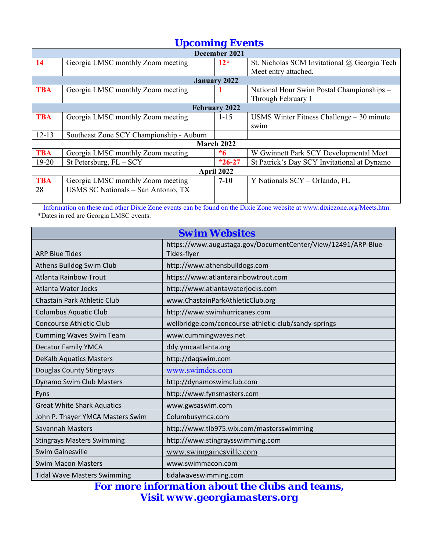## *Upcoming Events*

|            | December 2021                            |                   |                                              |  |  |  |  |
|------------|------------------------------------------|-------------------|----------------------------------------------|--|--|--|--|
| 14         | Georgia LMSC monthly Zoom meeting        | $12*$             | St. Nicholas SCM Invitational @ Georgia Tech |  |  |  |  |
|            |                                          |                   | Meet entry attached.                         |  |  |  |  |
|            |                                          | January 2022      |                                              |  |  |  |  |
| <b>TBA</b> | Georgia LMSC monthly Zoom meeting        |                   | National Hour Swim Postal Championships -    |  |  |  |  |
|            |                                          |                   | Through February 1                           |  |  |  |  |
|            |                                          | February 2022     |                                              |  |  |  |  |
| <b>TBA</b> | Georgia LMSC monthly Zoom meeting        | $1 - 15$          | USMS Winter Fitness Challenge $-30$ minute   |  |  |  |  |
|            |                                          |                   | sw <sub>1</sub> m                            |  |  |  |  |
| $12 - 13$  | Southeast Zone SCY Championship - Auburn |                   |                                              |  |  |  |  |
|            |                                          | <b>March 2022</b> |                                              |  |  |  |  |
| <b>TBA</b> | Georgia LMSC monthly Zoom meeting        | *6                | W Gwinnett Park SCY Developmental Meet       |  |  |  |  |
| $19-20$    | St Petersburg, $FL - SCY$                | $*26-27$          | St Patrick's Day SCY Invitational at Dynamo  |  |  |  |  |
|            | April 2022                               |                   |                                              |  |  |  |  |
| <b>TBA</b> | Georgia LMSC monthly Zoom meeting        | $7 - 10$          | Y Nationals SCY - Orlando, FL                |  |  |  |  |
| 28         | USMS SC Nationals - San Antonio, TX      |                   |                                              |  |  |  |  |
|            |                                          |                   |                                              |  |  |  |  |

 Information on these and other Dixie Zone events can be found on the Dixie Zone website at www.dixiezone.org/Meets.htm. \*Dates in red are Georgia LMSC events.

| <b>Swim Websites</b>               |                                                                              |  |  |  |
|------------------------------------|------------------------------------------------------------------------------|--|--|--|
| <b>ARP Blue Tides</b>              | https://www.augustaga.gov/DocumentCenter/View/12491/ARP-Blue-<br>Tides-flyer |  |  |  |
| Athens Bulldog Swim Club           | http://www.athensbulldogs.com                                                |  |  |  |
| <b>Atlanta Rainbow Trout</b>       | https://www.atlantarainbowtrout.com                                          |  |  |  |
| Atlanta Water Jocks                | http://www.atlantawaterjocks.com                                             |  |  |  |
| Chastain Park Athletic Club        | www.ChastainParkAthleticClub.org                                             |  |  |  |
| <b>Columbus Aquatic Club</b>       | http://www.swimhurricanes.com                                                |  |  |  |
| <b>Concourse Athletic Club</b>     | wellbridge.com/concourse-athletic-club/sandy-springs                         |  |  |  |
| <b>Cumming Waves Swim Team</b>     | www.cummingwaves.net                                                         |  |  |  |
| <b>Decatur Family YMCA</b>         | ddy.ymcaatlanta.org                                                          |  |  |  |
| <b>DeKalb Aquatics Masters</b>     | http://daqswim.com                                                           |  |  |  |
| Douglas County Stingrays           | www.swimdcs.com                                                              |  |  |  |
| Dynamo Swim Club Masters           | http://dynamoswimclub.com                                                    |  |  |  |
| Fyns                               | http://www.fynsmasters.com                                                   |  |  |  |
| <b>Great White Shark Aquatics</b>  | www.gwsaswim.com                                                             |  |  |  |
| John P. Thayer YMCA Masters Swim   | Columbusymca.com                                                             |  |  |  |
| <b>Savannah Masters</b>            | http://www.tlb975.wix.com/mastersswimming                                    |  |  |  |
| <b>Stingrays Masters Swimming</b>  | http://www.stingraysswimming.com                                             |  |  |  |
| <b>Swim Gainesville</b>            | www.swimgainesville.com                                                      |  |  |  |
| <b>Swim Macon Masters</b>          | www.swimmacon.com                                                            |  |  |  |
| <b>Tidal Wave Masters Swimming</b> | tidalwaveswimming.com                                                        |  |  |  |

*For more information about the clubs and teams, Visit www.georgiamasters.org*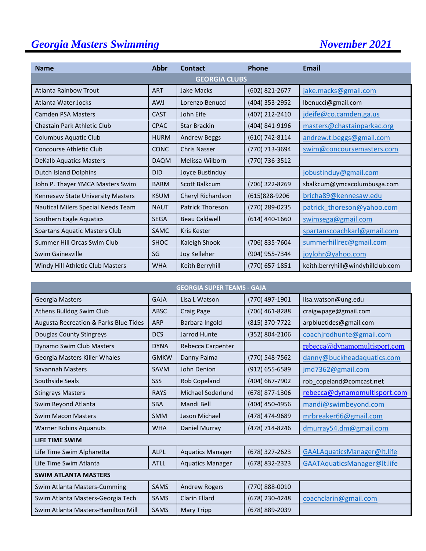# **Georgia Masters Swimming November 2021**

| <b>Name</b>                          | <b>Abbr</b> | <b>Contact</b>       | Phone            | <b>Email</b>                      |  |  |
|--------------------------------------|-------------|----------------------|------------------|-----------------------------------|--|--|
| <b>GEORGIA CLUBS</b>                 |             |                      |                  |                                   |  |  |
| Atlanta Rainbow Trout                | <b>ART</b>  | Jake Macks           | (602) 821-2677   | jake.macks@gmail.com              |  |  |
| Atlanta Water Jocks                  | <b>AWJ</b>  | Lorenzo Benucci      | (404) 353-2952   | lbenucci@gmail.com                |  |  |
| <b>Camden PSA Masters</b>            | <b>CAST</b> | John Eife            | (407) 212-2410   | jdeife@co.camden.ga.us            |  |  |
| Chastain Park Athletic Club          | <b>CPAC</b> | <b>Star Brackin</b>  | (404) 841-9196   | masters@chastainparkac.org        |  |  |
| <b>Columbus Aquatic Club</b>         | <b>HURM</b> | <b>Andrew Beggs</b>  | (610) 742-8114   | andrew.t.beggs@gmail.com          |  |  |
| Concourse Athletic Club              | <b>CONC</b> | <b>Chris Nasser</b>  | (770) 713-3694   | swim@concoursemasters.com         |  |  |
| <b>DeKalb Aquatics Masters</b>       | <b>DAQM</b> | Melissa Wilborn      | (770) 736-3512   |                                   |  |  |
| <b>Dutch Island Dolphins</b>         | <b>DID</b>  | Joyce Bustinduy      |                  | jobustinduy@gmail.com             |  |  |
| John P. Thayer YMCA Masters Swim     | <b>BARM</b> | <b>Scott Balkcum</b> | (706) 322-8269   | sbalkcum@ymcacolumbusga.com       |  |  |
| Kennesaw State University Masters    | <b>KSUM</b> | Cheryl Richardson    | (615)828-9206    | bricha89@kennesaw.edu             |  |  |
| Nautical Milers Special Needs Team   | <b>NAUT</b> | Patrick Thoreson     | (770) 289-0235   | patrick thoreson@yahoo.com        |  |  |
| Southern Eagle Aquatics              | <b>SEGA</b> | <b>Beau Caldwell</b> | $(614)$ 440-1660 | swimsega@gmail.com                |  |  |
| <b>Spartans Aquatic Masters Club</b> | <b>SAMC</b> | <b>Kris Kester</b>   |                  | spartanscoachkarl@gmail.com       |  |  |
| Summer Hill Orcas Swim Club          | <b>SHOC</b> | Kaleigh Shook        | (706) 835-7604   | summerhillrec@gmail.com           |  |  |
| Swim Gainesville                     | SG          | Joy Kelleher         | (904) 955-7344   | joylohr@yahoo.com                 |  |  |
| Windy Hill Athletic Club Masters     | <b>WHA</b>  | Keith Berryhill      | (770) 657-1851   | keith.berryhill@windyhillclub.com |  |  |

| <b>GEORGIA SUPER TEAMS - GAJA</b>     |             |                         |                    |                              |  |
|---------------------------------------|-------------|-------------------------|--------------------|------------------------------|--|
| Georgia Masters                       | <b>GAJA</b> | Lisa L Watson           | (770) 497-1901     | lisa.watson@ung.edu          |  |
| Athens Bulldog Swim Club              | <b>ABSC</b> | <b>Craig Page</b>       | $(706)$ 461-8288   | craigwpage@gmail.com         |  |
| Augusta Recreation & Parks Blue Tides | <b>ARP</b>  | Barbara Ingold          | (815) 370-7722     | arpbluetides@gmail.com       |  |
| Douglas County Stingreys              | <b>DCS</b>  | Jarrod Hunte            | (352) 804-2106     | coachjrodhunte@gmail.com     |  |
| Dynamo Swim Club Masters              | <b>DYNA</b> | Rebecca Carpenter       |                    | rebecca@dynamomultisport.com |  |
| Georgia Masters Killer Whales         | <b>GMKW</b> | Danny Palma             | (770) 548-7562     | danny@buckheadaquatics.com   |  |
| Savannah Masters                      | <b>SAVM</b> | John Denion             | $(912) 655 - 6589$ | jmd7362@gmail.com            |  |
| Southside Seals                       | SSS         | Rob Copeland            | (404) 667-7902     | rob copeland@comcast.net     |  |
| <b>Stingrays Masters</b>              | <b>RAYS</b> | Michael Soderlund       | (678) 877-1306     | rebecca@dynamomultisport.com |  |
| Swim Beyond Atlanta                   | <b>SBA</b>  | Mandi Bell              | (404) 450-4956     | mandi@swimbeyond.com         |  |
| <b>Swim Macon Masters</b>             | <b>SMM</b>  | Jason Michael           | (478) 474-9689     | mrbreaker66@gmail.com        |  |
| <b>Warner Robins Aquanuts</b>         | <b>WHA</b>  | Daniel Murray           | (478) 714-8246     | dmurray54.dm@gmail.com       |  |
| LIFE TIME SWIM                        |             |                         |                    |                              |  |
| Life Time Swim Alpharetta             | <b>ALPL</b> | <b>Aquatics Manager</b> | (678) 327-2623     | GAALAquaticsManager@lt.life  |  |
| Life Time Swim Atlanta                | <b>ATLL</b> | <b>Aquatics Manager</b> | (678) 832-2323     | GAATAquaticsManager@lt.life  |  |
| <b>SWIM ATLANTA MASTERS</b>           |             |                         |                    |                              |  |
| Swim Atlanta Masters-Cumming          | <b>SAMS</b> | <b>Andrew Rogers</b>    | (770) 888-0010     |                              |  |
| Swim Atlanta Masters-Georgia Tech     | <b>SAMS</b> | <b>Clarin Ellard</b>    | (678) 230-4248     | coachclarin@gmail.com        |  |
| Swim Atlanta Masters-Hamilton Mill    | <b>SAMS</b> | <b>Mary Tripp</b>       | (678) 889-2039     |                              |  |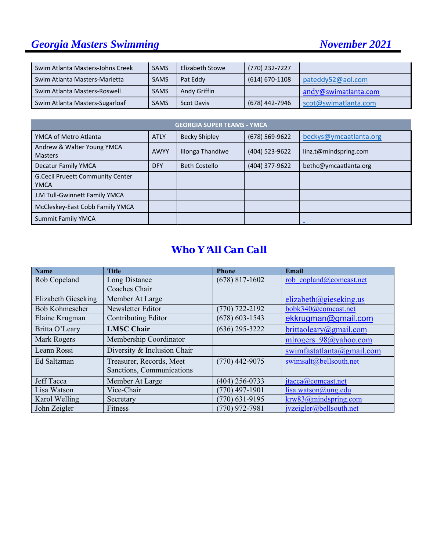# *Georgia Masters Swimming November 2021*

l

| Swim Atlanta Masters-Johns Creek | <b>SAMS</b> | Elizabeth Stowe   | (770) 232-7227     |                      |
|----------------------------------|-------------|-------------------|--------------------|----------------------|
| Swim Atlanta Masters-Marietta    | <b>SAMS</b> | Pat Eddy          | $(614) 670 - 1108$ | pateddy52@aol.com    |
| Swim Atlanta Masters-Roswell     | <b>SAMS</b> | Andy Griffin      |                    | andy@swimatlanta.com |
| Swim Atlanta Masters-Sugarloaf   | <b>SAMS</b> | <b>Scot Davis</b> | (678) 442-7946     | scot@swimatlanta.com |

| <b>GEORGIA SUPER TEAMS - YMCA</b>                      |             |                      |                |                        |  |  |
|--------------------------------------------------------|-------------|----------------------|----------------|------------------------|--|--|
| YMCA of Metro Atlanta                                  | <b>ATLY</b> | <b>Becky Shipley</b> | (678) 569-9622 | beckys@ymcaatlanta.org |  |  |
| Andrew & Walter Young YMCA<br><b>Masters</b>           | <b>AWYY</b> | Iilonga Thandiwe     | (404) 523-9622 | linz.t@mindspring.com  |  |  |
| <b>Decatur Family YMCA</b>                             | <b>DFY</b>  | <b>Beth Costello</b> | (404) 377-9622 | bethc@ymcaatlanta.org  |  |  |
| <b>G.Cecil Prueett Community Center</b><br><b>YMCA</b> |             |                      |                |                        |  |  |
| J.M Tull-Gwinnett Family YMCA                          |             |                      |                |                        |  |  |
| McCleskey-East Cobb Family YMCA                        |             |                      |                |                        |  |  |
| <b>Summit Family YMCA</b>                              |             |                      |                |                        |  |  |

#### *Who Y*=*All Can Call*

| <b>Name</b>           | <b>Title</b>                | <b>Phone</b>       | Email                     |
|-----------------------|-----------------------------|--------------------|---------------------------|
| Rob Copeland          | Long Distance               | $(678)$ 817-1602   | rob copland@comcast.net   |
|                       | Coaches Chair               |                    |                           |
| Elizabeth Gieseking   | Member At Large             |                    | elizabeth@gieseking.us    |
| <b>Bob Kohmescher</b> | Newsletter Editor           | $(770)$ 722-2192   | bobk340@comcast.net       |
| Elaine Krugman        | Contributing Editor         | $(678) 603 - 1543$ | ekkrugman@gmail.com       |
| Britta O'Leary        | <b>LMSC Chair</b>           | $(636)$ 295-3222   | brittaoleary@gmail.com    |
| Mark Rogers           | Membership Coordinator      |                    | mlrogers 98@yahoo.com     |
| Leann Rossi           | Diversity & Inclusion Chair |                    | swimfastatlanta@gmail.com |
| Ed Saltzman           | Treasurer, Records, Meet    | $(770)$ 442-9075   | swimsalt@bellsouth.net    |
|                       | Sanctions, Communications   |                    |                           |
| <b>Jeff Tacca</b>     | Member At Large             | $(404)$ 256-0733   | jtacca@comcast.net        |
| Lisa Watson           | Vice-Chair                  | $(770)$ 497-1901   | lisa.watson@ung.edu       |
| Karol Welling         | Secretary                   | $(770)$ 631-9195   | krw83@mindspring.com      |
| John Zeigler          | Fitness                     | $(770)$ 972-7981   | ivzeigler@bellsouth.net   |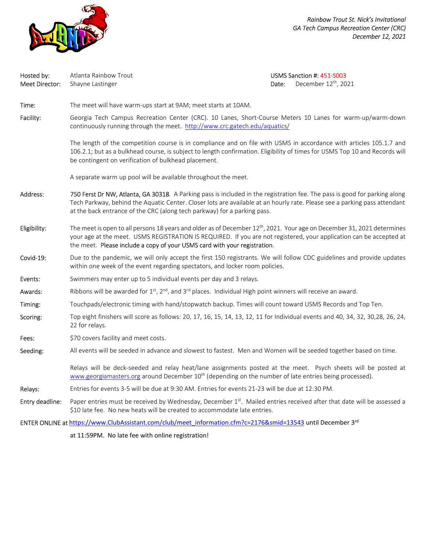

*Rainbow Trout St. Nick's Invitational GA Tech Campus Recreation Center (CRC) December 12, 2021* 

| Hosted by:<br>Meet Director: | Atlanta Rainbow Trout<br>Shayne Lastinger                                                                                                                                                                                                                                                                                               | USMS Sanction #: 451-S003<br>December 12 <sup>th</sup> , 2021<br>Date: |  |  |  |  |  |  |
|------------------------------|-----------------------------------------------------------------------------------------------------------------------------------------------------------------------------------------------------------------------------------------------------------------------------------------------------------------------------------------|------------------------------------------------------------------------|--|--|--|--|--|--|
| Time:                        | The meet will have warm-ups start at 9AM; meet starts at 10AM.                                                                                                                                                                                                                                                                          |                                                                        |  |  |  |  |  |  |
| Facility:                    | Georgia Tech Campus Recreation Center (CRC). 10 Lanes, Short-Course Meters 10 Lanes for warm-up/warm-down<br>continuously running through the meet. http://www.crc.gatech.edu/aquatics/                                                                                                                                                 |                                                                        |  |  |  |  |  |  |
|                              | The length of the competition course is in compliance and on file with USMS in accordance with articles 105.1.7 and<br>106.2.1; but as a bulkhead course, is subject to length confirmation. Eligibility of times for USMS Top 10 and Records will<br>be contingent on verification of bulkhead placement.                              |                                                                        |  |  |  |  |  |  |
|                              | A separate warm up pool will be available throughout the meet.                                                                                                                                                                                                                                                                          |                                                                        |  |  |  |  |  |  |
| Address:                     | 750 Ferst Dr NW, Atlanta, GA 30318. A Parking pass is included in the registration fee. The pass is good for parking along<br>Tech Parkway, behind the Aquatic Center. Closer lots are available at an hourly rate. Please see a parking pass attendant<br>at the back entrance of the CRC (along tech parkway) for a parking pass.     |                                                                        |  |  |  |  |  |  |
| Eligibility:                 | The meet is open to all persons 18 years and older as of December 12 <sup>th</sup> , 2021. Your age on December 31, 2021 determines<br>your age at the meet. USMS REGISTRATION IS REQUIRED. If you are not registered, your application can be accepted at<br>the meet. Please include a copy of your USMS card with your registration. |                                                                        |  |  |  |  |  |  |
| Covid-19:                    | Due to the pandemic, we will only accept the first 150 registrants. We will follow CDC guidelines and provide updates<br>within one week of the event regarding spectators, and locker room policies.                                                                                                                                   |                                                                        |  |  |  |  |  |  |
| Events:                      | Swimmers may enter up to 5 individual events per day and 3 relays.                                                                                                                                                                                                                                                                      |                                                                        |  |  |  |  |  |  |
| Awards:                      | Ribbons will be awarded for 1st, 2nd, and 3rd places. Individual High point winners will receive an award.                                                                                                                                                                                                                              |                                                                        |  |  |  |  |  |  |
| Timing:                      | Touchpads/electronic timing with hand/stopwatch backup. Times will count toward USMS Records and Top Ten.                                                                                                                                                                                                                               |                                                                        |  |  |  |  |  |  |
| Scoring:                     | Top eight finishers will score as follows: 20, 17, 16, 15, 14, 13, 12, 11 for Individual events and 40, 34, 32, 30, 28, 26, 24,<br>22 for relays.                                                                                                                                                                                       |                                                                        |  |  |  |  |  |  |
| Fees:                        | \$70 covers facility and meet costs.                                                                                                                                                                                                                                                                                                    |                                                                        |  |  |  |  |  |  |
| Seeding:                     | All events will be seeded in advance and slowest to fastest. Men and Women will be seeded together based on time.                                                                                                                                                                                                                       |                                                                        |  |  |  |  |  |  |
|                              | Relays will be deck-seeded and relay heat/lane assignments posted at the meet. Psych sheets will be posted at<br>www.georgiamasters.org around December 10 <sup>th</sup> (depending on the number of late entries being processed).                                                                                                     |                                                                        |  |  |  |  |  |  |
| Relays:                      | Entries for events 3-5 will be due at 9:30 AM. Entries for events 21-23 will be due at 12:30 PM.                                                                                                                                                                                                                                        |                                                                        |  |  |  |  |  |  |
| Entry deadline:              | Paper entries must be received by Wednesday, December 1st. Mailed entries received after that date will be assessed a<br>\$10 late fee. No new heats will be created to accommodate late entries.                                                                                                                                       |                                                                        |  |  |  |  |  |  |

ENTER ONLINE at https://www.ClubAssistant.com/club/meet\_information.cfm?c=2176&smid=13543 until December 3<sup>rd</sup>

at 11:59PM. No late fee with online registration!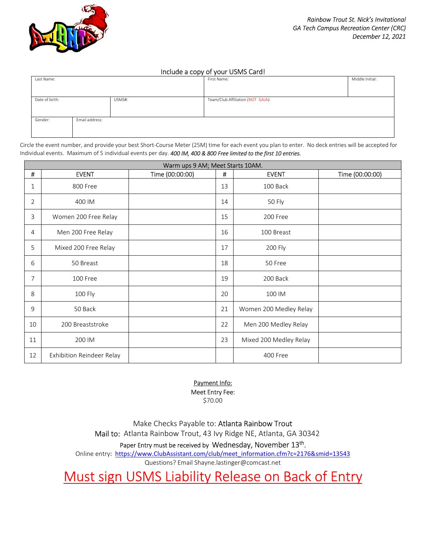

#### Include a copy of your USMS Card!

| Last Name:               |                | Middle Initial:<br>First Name:    |  |  |  |
|--------------------------|----------------|-----------------------------------|--|--|--|
|                          |                |                                   |  |  |  |
| Date of birth:<br>USMS#: |                | Team/Club Affiliation (NOT GAJA): |  |  |  |
|                          |                |                                   |  |  |  |
| Gender:                  | Email address: |                                   |  |  |  |
|                          |                |                                   |  |  |  |

Circle the event number, and provide your best Short-Course Meter (25M) time for each event you plan to enter. No deck entries will be accepted for Individual events. Maximum of 5 individual events per day. *400 IM, 400 & 800 Free limited to the first 10 entries.* 

| Warm ups 9 AM; Meet Starts 10AM. |                           |                 |    |                        |                 |  |  |
|----------------------------------|---------------------------|-----------------|----|------------------------|-----------------|--|--|
| #                                | <b>EVENT</b>              | Time (00:00:00) | #  | <b>EVENT</b>           | Time (00:00:00) |  |  |
| 1                                | 800 Free                  |                 | 13 | 100 Back               |                 |  |  |
| $\overline{2}$                   | 400 IM                    |                 | 14 | 50 Fly                 |                 |  |  |
| 3                                | Women 200 Free Relay      |                 | 15 | 200 Free               |                 |  |  |
| 4                                | Men 200 Free Relay        |                 | 16 | 100 Breast             |                 |  |  |
| 5                                | Mixed 200 Free Relay      |                 | 17 | 200 Fly                |                 |  |  |
| 6                                | 50 Breast                 |                 | 18 | 50 Free                |                 |  |  |
| 7                                | 100 Free                  |                 | 19 | 200 Back               |                 |  |  |
| 8                                | 100 Fly                   |                 | 20 | 100 IM                 |                 |  |  |
| 9                                | 50 Back                   |                 | 21 | Women 200 Medley Relay |                 |  |  |
| 10                               | 200 Breaststroke          |                 | 22 | Men 200 Medley Relay   |                 |  |  |
| 11                               | 200 IM                    |                 | 23 | Mixed 200 Medley Relay |                 |  |  |
| 12                               | Exhibition Reindeer Relay |                 |    | 400 Free               |                 |  |  |

Payment Info: Meet Entry Fee:

\$70.00

Make Checks Payable to: Atlanta Rainbow Trout Mail to: Atlanta Rainbow Trout, 43 Ivy Ridge NE, Atlanta, GA 30342

Paper Entry must be received by Wednesday, November 13<sup>th</sup>.

Online entry: https://www.ClubAssistant.com/club/meet\_information.cfm?c=2176&smid=13543

Questions? Email Shayne.lastinger@comcast.net

Must sign USMS Liability Release on Back of Entry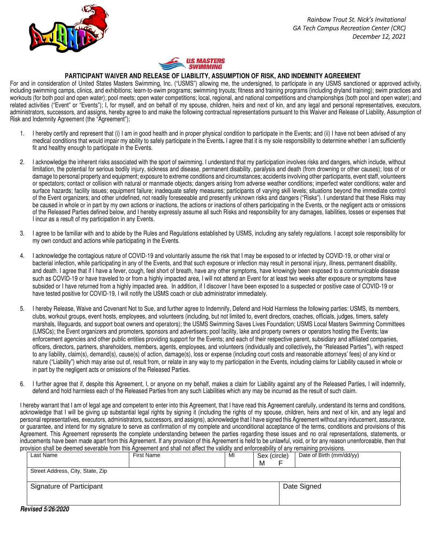*Rainbow Trout St. Nick's Invitational GA Tech Campus Recreation Center (CRC) December 12, 2021* 





#### **PARTICIPANT WAIVER AND RELEASE OF LIABILITY, ASSUMPTION OF RISK, AND INDEMNITY AGREEMENT**

For and in consideration of United States Masters Swimming, Inc. ("USMS") allowing me, the undersigned, to participate in any USMS sanctioned or approved activity, including swimming camps, clinics, and exhibitions; learn-to-swim programs; swimming tryouts; fitness and training programs (including dryland training); swim practices and workouts (for both pool and open water); pool meets; open water competitions; local, regional, and national competitions and championships (both pool and open water); and related activities ("Event" or "Events"); I, for myself, and on behalf of my spouse, children, heirs and next of kin, and any legal and personal representatives, executors, administrators, successors, and assigns, hereby agree to and make the following contractual representations pursuant to this Waiver and Release of Liability, Assumption of Risk and Indemnity Agreement (the "Agreement");

- 1. I hereby certify and represent that (i) I am in good health and in proper physical condition to participate in the Events; and (ii) I have not been advised of any medical conditions that would impair my ability to safely participate in the Events**.** I agree that it is my sole responsibility to determine whether I am sufficiently fit and healthy enough to participate in the Events.
- 2. I acknowledge the inherent risks associated with the sport of swimming. I understand that my participation involves risks and dangers, which include, without limitation, the potential for serious bodily injury, sickness and disease, permanent disability, paralysis and death (from drowning or other causes); loss of or damage to personal property and equipment; exposure to extreme conditions and circumstances; accidents involving other participants, event staff, volunteers or spectators; contact or collision with natural or manmade objects; dangers arising from adverse weather conditions; imperfect water conditions; water and surface hazards; facility issues; equipment failure; inadequate safety measures; participants of varying skill levels; situations beyond the immediate control of the Event organizers; and other undefined, not readily foreseeable and presently unknown risks and dangers ("Risks"). I understand that these Risks may be caused in whole or in part by my own actions or inactions, the actions or inactions of others participating in the Events, or the negligent acts or omissions of the Released Parties defined below, and I hereby expressly assume all such Risks and responsibility for any damages, liabilities, losses or expenses that I incur as a result of my participation in any Events.
- 3. I agree to be familiar with and to abide by the Rules and Regulations established by USMS, including any safety regulations. I accept sole responsibility for my own conduct and actions while participating in the Events.
- 4. I acknowledge the contagious nature of COVID-19 and voluntarily assume the risk that I may be exposed to or infected by COVID-19, or other viral or bacterial infection, while participating in any of the Events, and that such exposure or infection may result in personal injury, illness, permanent disability, and death. I agree that if I have a fever, cough, feel short of breath, have any other symptoms, have knowingly been exposed to a communicable disease such as COVID-19 or have traveled to or from a highly impacted area, I will not attend an Event for at least two weeks after exposure or symptoms have subsided or I have returned from a highly impacted area. In addition, if I discover I have been exposed to a suspected or positive case of COVID-19 or have tested positive for COVID-19, I will notify the USMS coach or club administrator immediately.
- 5. I hereby Release, Waive and Covenant Not to Sue, and further agree to Indemnify, Defend and Hold Harmless the following parties: USMS, its members, clubs, workout groups, event hosts, employees, and volunteers (including, but not limited to, event directors, coaches, officials, judges, timers, safety marshals, lifeguards, and support boat owners and operators); the USMS Swimming Saves Lives Foundation; USMS Local Masters Swimming Committees (LMSCs); the Event organizers and promoters, sponsors and advertisers; pool facility, lake and property owners or operators hosting the Events; law enforcement agencies and other public entities providing support for the Events; and each of their respective parent, subsidiary and affiliated companies, officers, directors, partners, shareholders, members, agents, employees, and volunteers (individually and collectively**,** the "Released Parties**"**), with respect to any liability, claim(s), demand(s), cause(s) of action, damage(s), loss or expense (including court costs and reasonable attorneys' fees) of any kind or nature ("Liability") which may arise out of, result from, or relate in any way to my participation in the Events, including claims for Liability caused in whole or in part by the negligent acts or omissions of the Released Parties.
- 6. I further agree that if, despite this Agreement, I, or anyone on my behalf, makes a claim for Liability against any of the Released Parties, I will indemnify, defend and hold harmless each of the Released Parties from any such Liabilities which any may be incurred as the result of such claim.

I hereby warrant that I am of legal age and competent to enter into this Agreement, that I have read this Agreement carefully, understand its terms and conditions, acknowledge that I will be giving up substantial legal rights by signing it (including the rights of my spouse, children, heirs and next of kin, and any legal and personal representatives, executors, administrators, successors, and assigns), acknowledge that I have signed this Agreement without any inducement, assurance, or guarantee, and intend for my signature to serve as confirmation of my complete and unconditional acceptance of the terms, conditions and provisions of this Agreement. This Agreement represents the complete understanding between the parties regarding these issues and no oral representations, statements, or inducements have been made apart from this Agreement. If any provision of this Agreement is held to be unlawful, void, or for any reason unenforceable, then that provision shall be deemed severable from this Agreement and shall not affect the validity and enforceability of any remaining provisions.

| Last Name                        | First Name | MI          | Sex (circle) | Date of Birth (mm/dd/yy) |  |  |  |
|----------------------------------|------------|-------------|--------------|--------------------------|--|--|--|
|                                  |            |             | М            |                          |  |  |  |
| Street Address, City, State, Zip |            |             |              |                          |  |  |  |
|                                  |            |             |              |                          |  |  |  |
| Signature of Participant         |            | Date Signed |              |                          |  |  |  |
|                                  |            |             |              |                          |  |  |  |
| $\blacksquare$                   |            |             |              |                          |  |  |  |